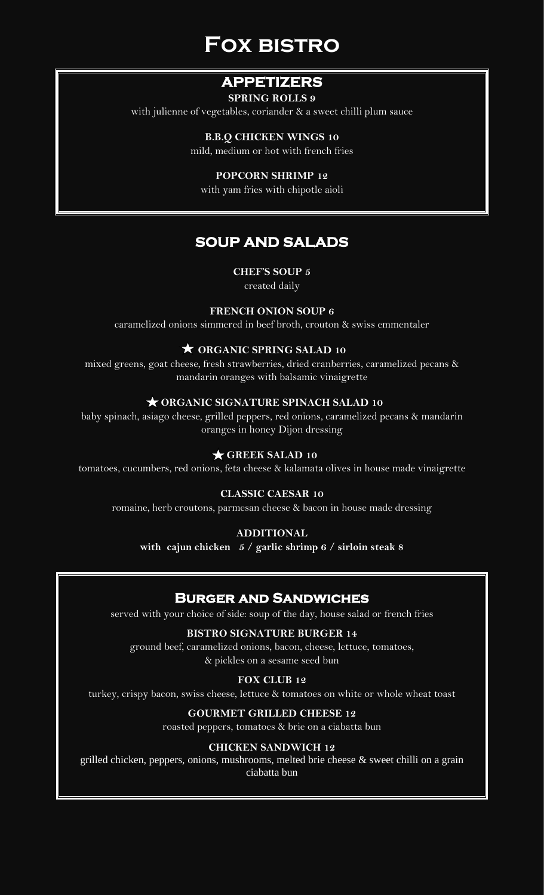# **Fox bistro**

## **APPETIZERS**

### **SPRING ROLLS 9**

with julienne of vegetables, coriander & a sweet chilli plum sauce

**B.B.Q CHICKEN WINGS 10** mild, medium or hot with french fries

**POPCORN SHRIMP 12**

with yam fries with chipotle aioli

## **SOUP AND SALADS**

**CHEF'S SOUP 5**

created daily

## **FRENCH ONION SOUP 6**

caramelized onions simmered in beef broth, crouton & swiss emmentaler

## **ORGANIC SPRING SALAD 10**

mixed greens, goat cheese, fresh strawberries, dried cranberries, caramelized pecans & mandarin oranges with balsamic vinaigrette

## **ORGANIC SIGNATURE SPINACH SALAD 10**

baby spinach, asiago cheese, grilled peppers, red onions, caramelized pecans & mandarin oranges in honey Dijon dressing

## **GREEK SALAD 10**

tomatoes, cucumbers, red onions, feta cheese & kalamata olives in house made vinaigrette

## **CLASSIC CAESAR 10**

romaine, herb croutons, parmesan cheese & bacon in house made dressing

#### **ADDITIONAL**

**with cajun chicken 5 / garlic shrimp 6 / sirloin steak 8**

## **Burger and Sandwiches**

served with your choice of side: soup of the day, house salad or french fries

## **BISTRO SIGNATURE BURGER 14**

ground beef, caramelized onions, bacon, cheese, lettuce, tomatoes, & pickles on a sesame seed bun

## **FOX CLUB 12**

turkey, crispy bacon, swiss cheese, lettuce & tomatoes on white or whole wheat toast

## **GOURMET GRILLED CHEESE 12**

roasted peppers, tomatoes & brie on a ciabatta bun

## **CHICKEN SANDWICH 12**

grilled chicken, peppers, onions, mushrooms, melted brie cheese & sweet chilli on a grain ciabatta bun